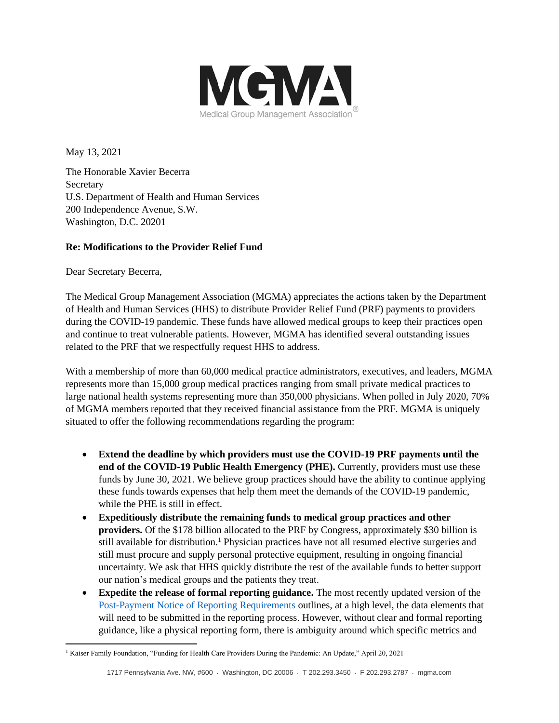

May 13, 2021

The Honorable Xavier Becerra **Secretary** U.S. Department of Health and Human Services 200 Independence Avenue, S.W. Washington, D.C. 20201

## **Re: Modifications to the Provider Relief Fund**

Dear Secretary Becerra,

The Medical Group Management Association (MGMA) appreciates the actions taken by the Department of Health and Human Services (HHS) to distribute Provider Relief Fund (PRF) payments to providers during the COVID-19 pandemic. These funds have allowed medical groups to keep their practices open and continue to treat vulnerable patients. However, MGMA has identified several outstanding issues related to the PRF that we respectfully request HHS to address.

With a membership of more than 60,000 medical practice administrators, executives, and leaders, MGMA represents more than 15,000 group medical practices ranging from small private medical practices to large national health systems representing more than 350,000 physicians. When polled in July 2020, 70% of MGMA members reported that they received financial assistance from the PRF. MGMA is uniquely situated to offer the following recommendations regarding the program:

- **Extend the deadline by which providers must use the COVID-19 PRF payments until the end of the COVID-19 Public Health Emergency (PHE).** Currently, providers must use these funds by June 30, 2021. We believe group practices should have the ability to continue applying these funds towards expenses that help them meet the demands of the COVID-19 pandemic, while the PHE is still in effect.
- **Expeditiously distribute the remaining funds to medical group practices and other providers.** Of the \$178 billion allocated to the PRF by Congress, approximately \$30 billion is still available for distribution.<sup>1</sup> Physician practices have not all resumed elective surgeries and still must procure and supply personal protective equipment, resulting in ongoing financial uncertainty. We ask that HHS quickly distribute the rest of the available funds to better support our nation's medical groups and the patients they treat.
- **Expedite the release of formal reporting guidance.** The most recently updated version of the [Post-Payment Notice of Reporting Requirements](https://www.hhs.gov/sites/default/files/provider-post-payment-notice-of-reporting-requirements-january-2021.pdf) outlines, at a high level, the data elements that will need to be submitted in the reporting process. However, without clear and formal reporting guidance, like a physical reporting form, there is ambiguity around which specific metrics and

<sup>&</sup>lt;sup>1</sup> Kaiser Family Foundation, "Funding for Health Care Providers During the Pandemic: An Update," April 20, 2021